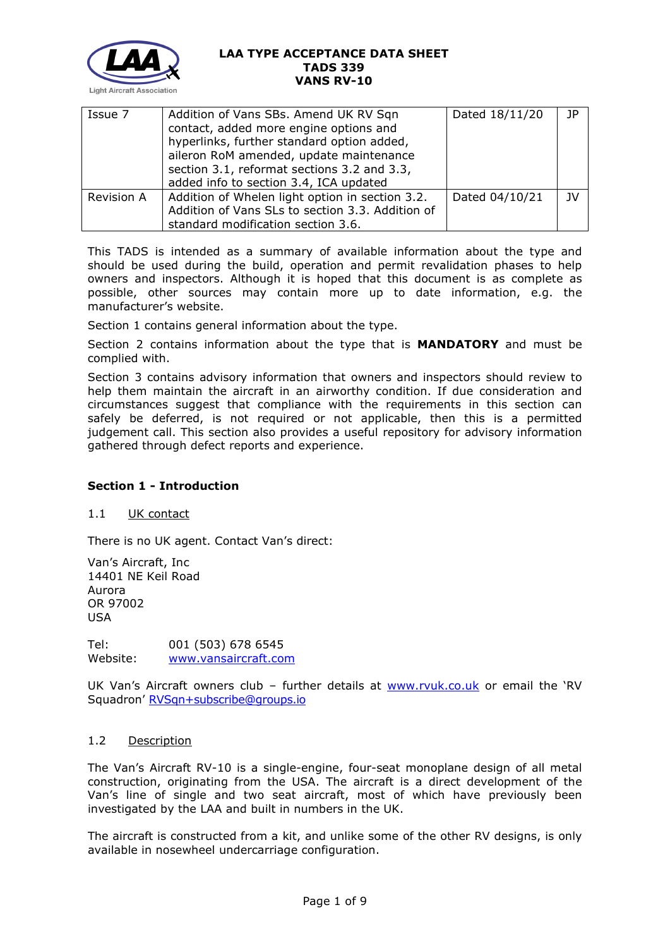

| Issue 7    | Addition of Vans SBs. Amend UK RV Sqn<br>contact, added more engine options and<br>hyperlinks, further standard option added,<br>aileron RoM amended, update maintenance<br>section 3.1, reformat sections 3.2 and 3.3, | Dated 18/11/20 | JP        |
|------------|-------------------------------------------------------------------------------------------------------------------------------------------------------------------------------------------------------------------------|----------------|-----------|
|            | added info to section 3.4, ICA updated                                                                                                                                                                                  |                |           |
| Revision A | Addition of Whelen light option in section 3.2.                                                                                                                                                                         | Dated 04/10/21 | <b>JV</b> |
|            | Addition of Vans SLs to section 3.3. Addition of                                                                                                                                                                        |                |           |
|            | standard modification section 3.6.                                                                                                                                                                                      |                |           |

This TADS is intended as a summary of available information about the type and should be used during the build, operation and permit revalidation phases to help owners and inspectors. Although it is hoped that this document is as complete as possible, other sources may contain more up to date information, e.g. the manufacturer's website.

Section 1 contains general information about the type.

Section 2 contains information about the type that is **MANDATORY** and must be complied with.

Section 3 contains advisory information that owners and inspectors should review to help them maintain the aircraft in an airworthy condition. If due consideration and circumstances suggest that compliance with the requirements in this section can safely be deferred, is not required or not applicable, then this is a permitted judgement call. This section also provides a useful repository for advisory information gathered through defect reports and experience.

# **Section 1 - Introduction**

## 1.1 UK contact

There is no UK agent. Contact Van's direct:

Van's Aircraft, Inc 14401 NE Keil Road Aurora OR 97002 USA

Tel: 001 (503) 678 6545 Website: [www.vansaircraft.com](http://www.vansaircraft.com/)

UK Van's Aircraft owners club – further details at [www.rvuk.co.uk](http://www.rvuk.co.uk/) or email the 'RV Squadron' [RVSqn+subscribe@groups.io](mailto:RVSqn+subscribe@groups.io)

## 1.2 Description

The Van's Aircraft RV-10 is a single-engine, four-seat monoplane design of all metal construction, originating from the USA. The aircraft is a direct development of the Van's line of single and two seat aircraft, most of which have previously been investigated by the LAA and built in numbers in the UK.

The aircraft is constructed from a kit, and unlike some of the other RV designs, is only available in nosewheel undercarriage configuration.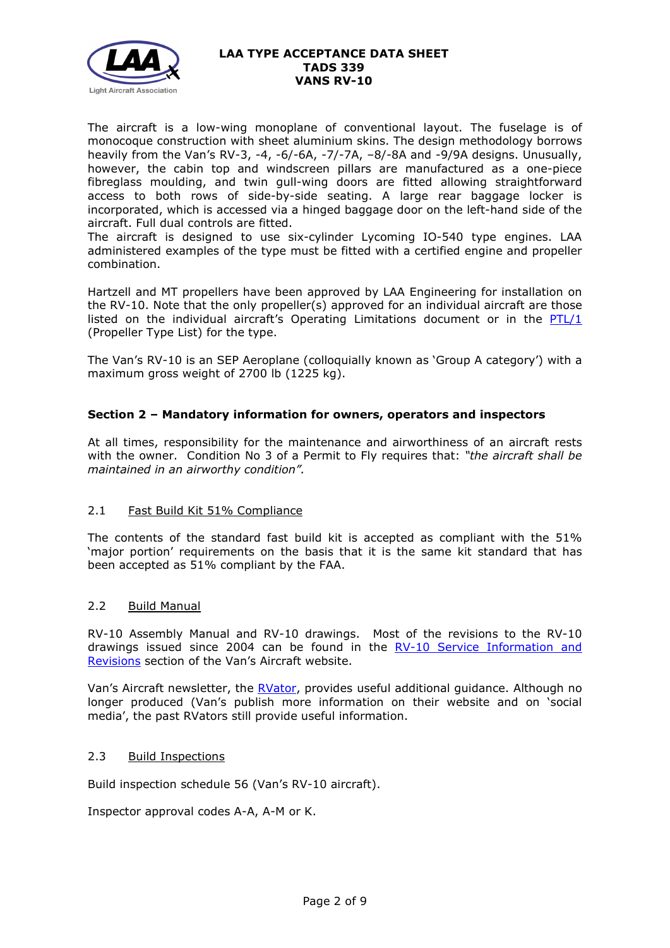

The aircraft is a low-wing monoplane of conventional layout. The fuselage is of monocoque construction with sheet aluminium skins. The design methodology borrows heavily from the Van's RV-3, -4, -6/-6A, -7/-7A, –8/-8A and -9/9A designs. Unusually, however, the cabin top and windscreen pillars are manufactured as a one-piece fibreglass moulding, and twin gull-wing doors are fitted allowing straightforward access to both rows of side-by-side seating. A large rear baggage locker is incorporated, which is accessed via a hinged baggage door on the left-hand side of the aircraft. Full dual controls are fitted.

The aircraft is designed to use six-cylinder Lycoming IO-540 type engines. LAA administered examples of the type must be fitted with a certified engine and propeller combination.

Hartzell and MT propellers have been approved by LAA Engineering for installation on the RV-10. Note that the only propeller(s) approved for an individual aircraft are those listed on the individual aircraft's Operating Limitations document or in the  $PTL/1$ (Propeller Type List) for the type.

The Van's RV-10 is an SEP Aeroplane (colloquially known as 'Group A category') with a maximum gross weight of 2700 lb (1225 kg).

# **Section 2 – Mandatory information for owners, operators and inspectors**

At all times, responsibility for the maintenance and airworthiness of an aircraft rests with the owner. Condition No 3 of a Permit to Fly requires that: *"the aircraft shall be maintained in an airworthy condition".* 

# 2.1 Fast Build Kit 51% Compliance

The contents of the standard fast build kit is accepted as compliant with the 51% 'major portion' requirements on the basis that it is the same kit standard that has been accepted as 51% compliant by the FAA.

## 2.2 Build Manual

RV-10 Assembly Manual and RV-10 drawings. Most of the revisions to the RV-10 drawings issued since 2004 can be found in the [RV-10 Service Information and](https://www.vansaircraft.com/service-information-and-revisions/?aircraft=rv-10&doctype=all&sort=date)  [Revisions](https://www.vansaircraft.com/service-information-and-revisions/?aircraft=rv-10&doctype=all&sort=date) section of the Van's Aircraft website.

Van's Aircraft newsletter, the [RVator,](https://www.vansaircraft.com/rvator/) provides useful additional guidance. Although no longer produced (Van's publish more information on their website and on 'social media', the past RVators still provide useful information.

## 2.3 Build Inspections

Build inspection schedule 56 (Van's RV-10 aircraft).

Inspector approval codes A-A, A-M or K.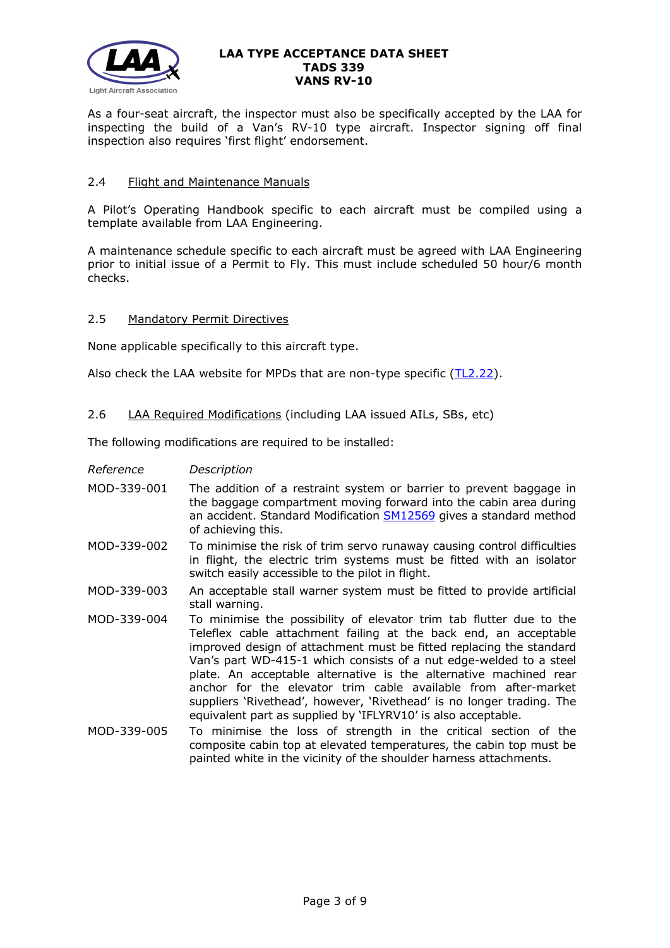

As a four-seat aircraft, the inspector must also be specifically accepted by the LAA for inspecting the build of a Van's RV-10 type aircraft. Inspector signing off final inspection also requires 'first flight' endorsement.

## 2.4 Flight and Maintenance Manuals

A Pilot's Operating Handbook specific to each aircraft must be compiled using a template available from LAA Engineering.

A maintenance schedule specific to each aircraft must be agreed with LAA Engineering prior to initial issue of a Permit to Fly. This must include scheduled 50 hour/6 month checks.

## 2.5 Mandatory Permit Directives

None applicable specifically to this aircraft type.

Also check the LAA website for MPDs that are non-type specific [\(TL2.22\)](http://www.lightaircraftassociation.co.uk/engineering/TechnicalLeaflets/Operating%20An%20Aircraft/TL%202.22%20non-type%20specific%20MPDs.pdf).

2.6 LAA Required Modifications (including LAA issued AILs, SBs, etc)

The following modifications are required to be installed:

| Reference | Description |
|-----------|-------------|
|-----------|-------------|

- MOD-339-001 The addition of a restraint system or barrier to prevent baggage in the baggage compartment moving forward into the cabin area during an accident. Standard Modification **SM12569** gives a standard method of achieving this.
- MOD-339-002 To minimise the risk of trim servo runaway causing control difficulties in flight, the electric trim systems must be fitted with an isolator switch easily accessible to the pilot in flight.
- MOD-339-003 An acceptable stall warner system must be fitted to provide artificial stall warning.
- MOD-339-004 To minimise the possibility of elevator trim tab flutter due to the Teleflex cable attachment failing at the back end, an acceptable improved design of attachment must be fitted replacing the standard Van's part WD-415-1 which consists of a nut edge-welded to a steel plate. An acceptable alternative is the alternative machined rear anchor for the elevator trim cable available from after-market suppliers 'Rivethead', however, 'Rivethead' is no longer trading. The equivalent part as supplied by 'IFLYRV10' is also acceptable.
- MOD-339-005 To minimise the loss of strength in the critical section of the composite cabin top at elevated temperatures, the cabin top must be painted white in the vicinity of the shoulder harness attachments.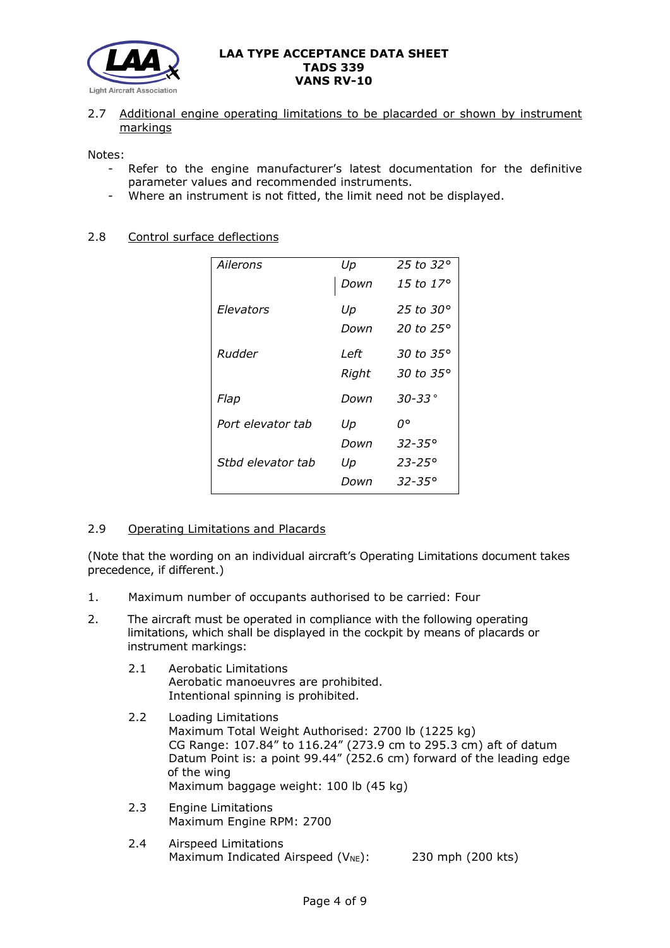

2.7 Additional engine operating limitations to be placarded or shown by instrument markings

Notes:

- Refer to the engine manufacturer's latest documentation for the definitive parameter values and recommended instruments.
- Where an instrument is not fitted, the limit need not be displayed.

## 2.8 Control surface deflections

| Ailerons          | Up    | 25 to 32 $^{\circ}$ |
|-------------------|-------|---------------------|
|                   | Down  | 15 to 17°           |
| Elevators         | Up    | 25 to $30^\circ$    |
|                   | Down  | 20 to $25^\circ$    |
| Rudder            | Left  | 30 to 35°           |
|                   | Right | 30 to 35°           |
| Flap              | Down  | $30 - 33$ °         |
| Port elevator tab | Up    | o٥                  |
|                   | Down  | 32-35°              |
| Sthd elevator tab | Up    | $23 - 25^{\circ}$   |
|                   | Down  | $32 - 35^{\circ}$   |

## 2.9 Operating Limitations and Placards

(Note that the wording on an individual aircraft's Operating Limitations document takes precedence, if different.)

- 1. Maximum number of occupants authorised to be carried: Four
- 2. The aircraft must be operated in compliance with the following operating limitations, which shall be displayed in the cockpit by means of placards or instrument markings:
	- 2.1 Aerobatic Limitations Aerobatic manoeuvres are prohibited. Intentional spinning is prohibited.
	- 2.2 Loading Limitations Maximum Total Weight Authorised: 2700 lb (1225 kg) CG Range: 107.84" to 116.24" (273.9 cm to 295.3 cm) aft of datum Datum Point is: a point 99.44" (252.6 cm) forward of the leading edge of the wing Maximum baggage weight: 100 lb (45 kg)
	- 2.3 Engine Limitations Maximum Engine RPM: 2700
	- 2.4 Airspeed Limitations Maximum Indicated Airspeed  $(V_{NE})$ : 230 mph (200 kts)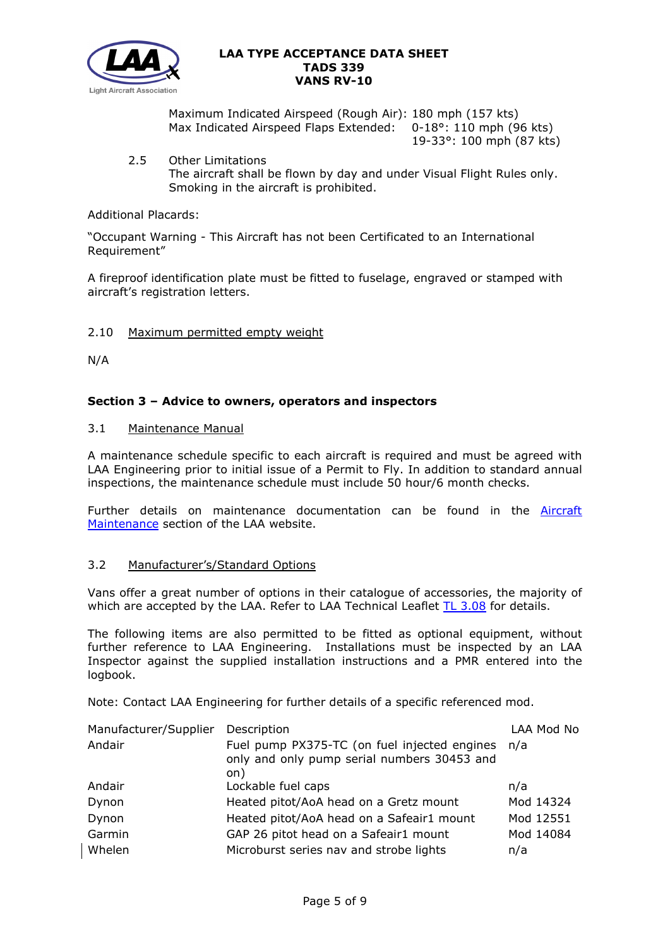

Maximum Indicated Airspeed (Rough Air): 180 mph (157 kts) Max Indicated Airspeed Flaps Extended: 0-18°: 110 mph (96 kts) 19-33°: 100 mph (87 kts)

2.5 Other Limitations The aircraft shall be flown by day and under Visual Flight Rules only. Smoking in the aircraft is prohibited.

## Additional Placards:

"Occupant Warning - This Aircraft has not been Certificated to an International Requirement"

A fireproof identification plate must be fitted to fuselage, engraved or stamped with aircraft's registration letters.

## 2.10 Maximum permitted empty weight

N/A

## **Section 3 – Advice to owners, operators and inspectors**

## 3.1 Maintenance Manual

A maintenance schedule specific to each aircraft is required and must be agreed with LAA Engineering prior to initial issue of a Permit to Fly. In addition to standard annual inspections, the maintenance schedule must include 50 hour/6 month checks.

Further details on maintenance documentation can be found in the **Aircraft** [Maintenance](http://www.lightaircraftassociation.co.uk/engineering/Maintenance/Aircraft_Maintenance.html) section of the LAA website.

## 3.2 Manufacturer's/Standard Options

Vans offer a great number of options in their catalogue of accessories, the majority of which are accepted by the LAA. Refer to LAA Technical Leaflet [TL 3.08](http://www.lightaircraftassociation.co.uk/engineering/TechnicalLeaflets/Mods%20and%20Repairs/TL%203.08%20Manufacturers%20Options%20for%20Vans%20Aircraft.pdf) for details.

The following items are also permitted to be fitted as optional equipment, without further reference to LAA Engineering. Installations must be inspected by an LAA Inspector against the supplied installation instructions and a PMR entered into the logbook.

Note: Contact LAA Engineering for further details of a specific referenced mod.

| Manufacturer/Supplier | Description                                                                                            | LAA Mod No |
|-----------------------|--------------------------------------------------------------------------------------------------------|------------|
| Andair                | Fuel pump PX375-TC (on fuel injected engines n/a<br>only and only pump serial numbers 30453 and<br>on) |            |
| Andair                | Lockable fuel caps                                                                                     | n/a        |
| Dynon                 | Heated pitot/AoA head on a Gretz mount                                                                 | Mod 14324  |
| Dynon                 | Heated pitot/AoA head on a Safeair1 mount                                                              | Mod 12551  |
| Garmin                | GAP 26 pitot head on a Safeair1 mount                                                                  | Mod 14084  |
| Whelen                | Microburst series nav and strobe lights                                                                | n/a        |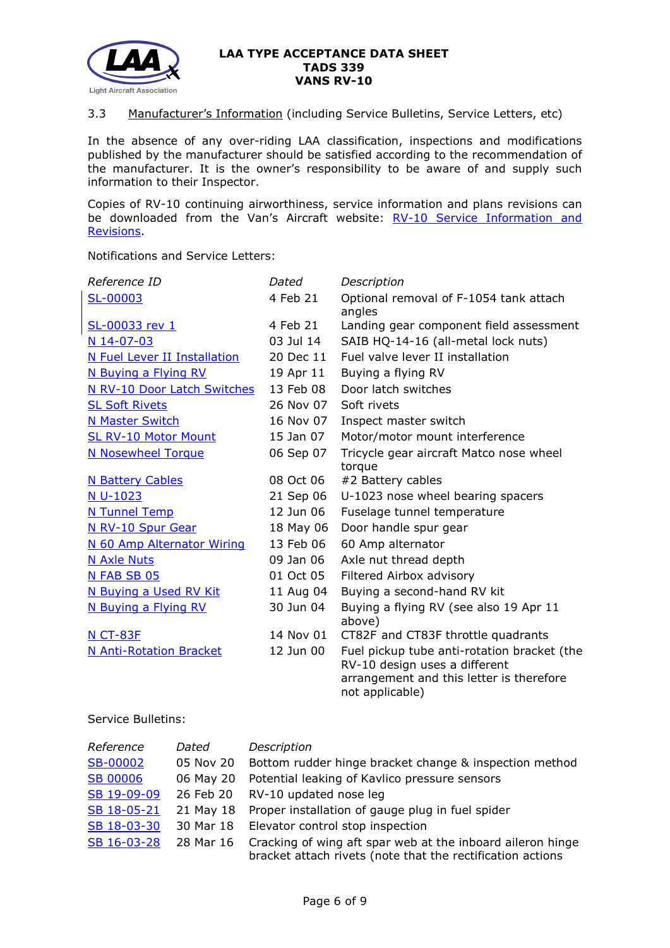

## 3.3 Manufacturer's Information (including Service Bulletins, Service Letters, etc)

In the absence of any over-riding LAA classification, inspections and modifications published by the manufacturer should be satisfied according to the recommendation of the manufacturer. It is the owner's responsibility to be aware of and supply such information to their Inspector.

Copies of RV-10 continuing airworthiness, service information and plans revisions can be downloaded from the Van's Aircraft website: RV-10 Service Information and [Revisions.](https://www.vansaircraft.com/service-information-and-revisions/?aircraft=rv-10&doctype=all&sort=date)

Notifications and Service Letters:

| Reference ID                   | Dated     | Description                                                                  |
|--------------------------------|-----------|------------------------------------------------------------------------------|
| SL-00003                       | 4 Feb 21  | Optional removal of F-1054 tank attach<br>angles                             |
| SL-00033 rev 1                 | 4 Feb 21  | Landing gear component field assessment                                      |
| N 14-07-03                     | 03 Jul 14 | SAIB HQ-14-16 (all-metal lock nuts)                                          |
| N Fuel Lever II Installation   | 20 Dec 11 | Fuel valve lever II installation                                             |
| N Buying a Flying RV           | 19 Apr 11 | Buying a flying RV                                                           |
| N RV-10 Door Latch Switches    | 13 Feb 08 | Door latch switches                                                          |
| <b>SL Soft Rivets</b>          | 26 Nov 07 | Soft rivets                                                                  |
| <b>N Master Switch</b>         | 16 Nov 07 | Inspect master switch                                                        |
| <b>SL RV-10 Motor Mount</b>    | 15 Jan 07 | Motor/motor mount interference                                               |
| <b>N Nosewheel Torque</b>      | 06 Sep 07 | Tricycle gear aircraft Matco nose wheel<br>torque                            |
| <b>N Battery Cables</b>        | 08 Oct 06 | #2 Battery cables                                                            |
| N U-1023                       | 21 Sep 06 | U-1023 nose wheel bearing spacers                                            |
| N Tunnel Temp                  | 12 Jun 06 | Fuselage tunnel temperature                                                  |
| N RV-10 Spur Gear              | 18 May 06 | Door handle spur gear                                                        |
| N 60 Amp Alternator Wiring     | 13 Feb 06 | 60 Amp alternator                                                            |
| <b>N Axle Nuts</b>             | 09 Jan 06 | Axle nut thread depth                                                        |
| N FAB SB 05                    | 01 Oct 05 | Filtered Airbox advisory                                                     |
| N Buying a Used RV Kit         | 11 Aug 04 | Buying a second-hand RV kit                                                  |
| N Buying a Flying RV           | 30 Jun 04 | Buying a flying RV (see also 19 Apr 11                                       |
|                                |           | above)                                                                       |
| N CT-83F                       | 14 Nov 01 | CT82F and CT83F throttle quadrants                                           |
| <b>N Anti-Rotation Bracket</b> | 12 Jun 00 | Fuel pickup tube anti-rotation bracket (the<br>RV-10 design uses a different |
|                                |           | arrangement and this letter is therefore<br>not applicable)                  |

Service Bulletins:

| Reference       | Dated     | Description                                                                                                              |
|-----------------|-----------|--------------------------------------------------------------------------------------------------------------------------|
| <b>SB-00002</b> | 05 Nov 20 | Bottom rudder hinge bracket change & inspection method                                                                   |
| <b>SB 00006</b> | 06 May 20 | Potential leaking of Kavlico pressure sensors                                                                            |
| SB 19-09-09     | 26 Feb 20 | RV-10 updated nose leg                                                                                                   |
| SB 18-05-21     |           | 21 May 18 Proper installation of gauge plug in fuel spider                                                               |
| SB 18-03-30     |           | 30 Mar 18 Elevator control stop inspection                                                                               |
| SB 16-03-28     | 28 Mar 16 | Cracking of wing aft spar web at the inboard aileron hinge<br>bracket attach rivets (note that the rectification actions |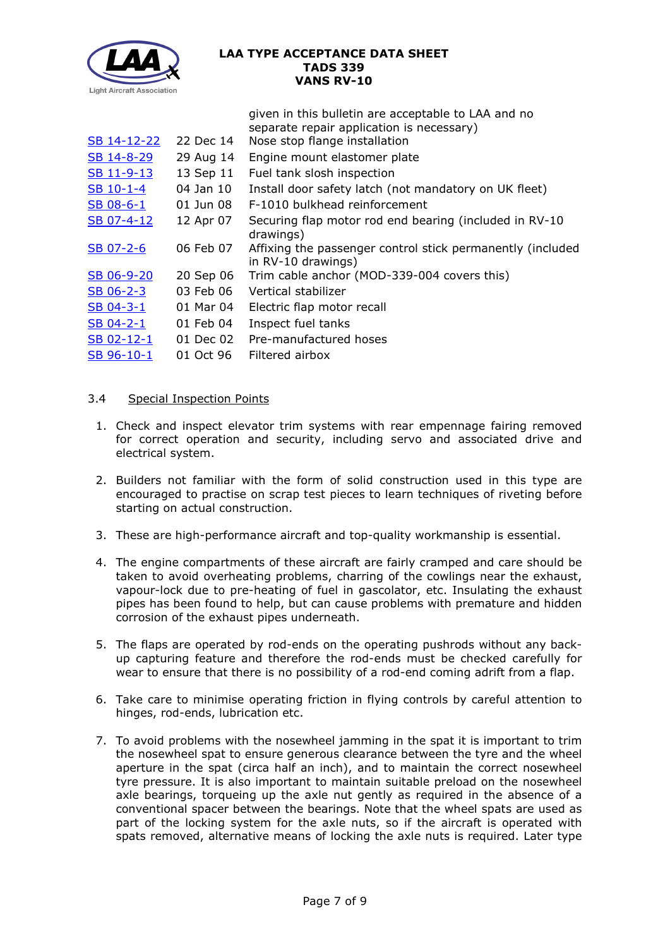

|             |           | given in this bulletin are acceptable to LAA and no                              |
|-------------|-----------|----------------------------------------------------------------------------------|
|             |           | separate repair application is necessary)                                        |
| SB 14-12-22 | 22 Dec 14 | Nose stop flange installation                                                    |
| SB 14-8-29  | 29 Aug 14 | Engine mount elastomer plate                                                     |
| SB 11-9-13  | 13 Sep 11 | Fuel tank slosh inspection                                                       |
| SB 10-1-4   | 04 Jan 10 | Install door safety latch (not mandatory on UK fleet)                            |
| $SB$ 08-6-1 | 01 Jun 08 | F-1010 bulkhead reinforcement                                                    |
| SB 07-4-12  | 12 Apr 07 | Securing flap motor rod end bearing (included in RV-10<br>drawings)              |
| $SB$ 07-2-6 | 06 Feb 07 | Affixing the passenger control stick permanently (included<br>in RV-10 drawings) |
| SB 06-9-20  | 20 Sep 06 | Trim cable anchor (MOD-339-004 covers this)                                      |
| $SB$ 06-2-3 | 03 Feb 06 | Vertical stabilizer                                                              |
| $SB$ 04-3-1 | 01 Mar 04 | Electric flap motor recall                                                       |
| SB 04-2-1   | 01 Feb 04 | Inspect fuel tanks                                                               |
| SB 02-12-1  | 01 Dec 02 | Pre-manufactured hoses                                                           |
| SB 96-10-1  | 01 Oct 96 | Filtered airbox                                                                  |
|             |           |                                                                                  |

## 3.4 Special Inspection Points

- 1. Check and inspect elevator trim systems with rear empennage fairing removed for correct operation and security, including servo and associated drive and electrical system.
- 2. Builders not familiar with the form of solid construction used in this type are encouraged to practise on scrap test pieces to learn techniques of riveting before starting on actual construction.
- 3. These are high-performance aircraft and top-quality workmanship is essential.
- 4. The engine compartments of these aircraft are fairly cramped and care should be taken to avoid overheating problems, charring of the cowlings near the exhaust, vapour-lock due to pre-heating of fuel in gascolator, etc. Insulating the exhaust pipes has been found to help, but can cause problems with premature and hidden corrosion of the exhaust pipes underneath.
- 5. The flaps are operated by rod-ends on the operating pushrods without any backup capturing feature and therefore the rod-ends must be checked carefully for wear to ensure that there is no possibility of a rod-end coming adrift from a flap.
- 6. Take care to minimise operating friction in flying controls by careful attention to hinges, rod-ends, lubrication etc.
- 7. To avoid problems with the nosewheel jamming in the spat it is important to trim the nosewheel spat to ensure generous clearance between the tyre and the wheel aperture in the spat (circa half an inch), and to maintain the correct nosewheel tyre pressure. It is also important to maintain suitable preload on the nosewheel axle bearings, torqueing up the axle nut gently as required in the absence of a conventional spacer between the bearings. Note that the wheel spats are used as part of the locking system for the axle nuts, so if the aircraft is operated with spats removed, alternative means of locking the axle nuts is required. Later type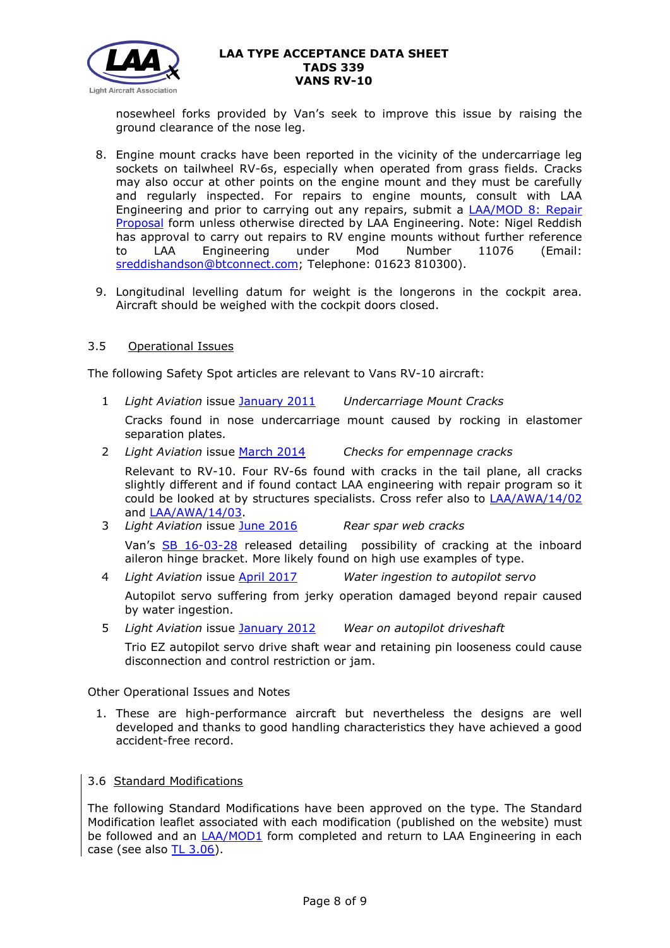

nosewheel forks provided by Van's seek to improve this issue by raising the ground clearance of the nose leg.

- 8. Engine mount cracks have been reported in the vicinity of the undercarriage leg sockets on tailwheel RV-6s, especially when operated from grass fields. Cracks may also occur at other points on the engine mount and they must be carefully and regularly inspected. For repairs to engine mounts, consult with LAA Engineering and prior to carrying out any repairs, submit a [LAA/MOD 8: Repair](http://www.lightaircraftassociation.co.uk/engineering/StandardForms/LAA-MOD%208%20-%20Repair.pdf)  [Proposal](http://www.lightaircraftassociation.co.uk/engineering/StandardForms/LAA-MOD%208%20-%20Repair.pdf) form unless otherwise directed by LAA Engineering. Note: Nigel Reddish has approval to carry out repairs to RV engine mounts without further reference to LAA Engineering under Mod Number 11076 (Email: [sreddishandson@btconnect.com;](mailto:sreddishandson@btconnect.com) Telephone: 01623 810300).
- 9. Longitudinal levelling datum for weight is the longerons in the cockpit area. Aircraft should be weighed with the cockpit doors closed.

## 3.5 Operational Issues

The following Safety Spot articles are relevant to Vans RV-10 aircraft:

1 *Light Aviation* issue [January 2011](http://www.lightaircraftassociation.co.uk/2011/Magazine/Jan/Safety_Spot_Jan.pdf) *Undercarriage Mount Cracks*

Cracks found in nose undercarriage mount caused by rocking in elastomer separation plates.

- 2 *Light Aviation* issue [March 2014](http://www.lightaircraftassociation.co.uk/2014/Mag/Mar/safetyspot_mar.pdf) *Checks for empennage cracks* Relevant to RV-10. Four RV-6s found with cracks in the tail plane, all cracks slightly different and if found contact LAA engineering with repair program so it could be looked at by structures specialists. Cross refer also to [LAA/AWA/14/02](http://www.lightaircraftassociation.co.uk/MM/LAA%20AWA%2014%2002.pdf) and [LAA/AWA/14/03.](http://www.lightaircraftassociation.co.uk/MM/LAA%20AWA%2014%2003.pdf)
- 3 *Light Aviation* issue [June 2016](http://www.lightaircraftassociation.co.uk/2016/Magazine/June/safety_spot.pdf) *Rear spar web cracks* Van's [SB 16-03-28](http://www.lightaircraftassociation.co.uk/engineering/TADs/323/sb16-03-28.pdf) released detailing possibility of cracking at the inboard
- aileron hinge bracket. More likely found on high use examples of type. 4 *Light Aviation* issue [April 2017](http://www.lightaircraftassociation.co.uk/2017/Magazine/Apr/Safety_Spot.pdf) *Water ingestion to autopilot servo*

Autopilot servo suffering from jerky operation damaged beyond repair caused by water ingestion.

5 *Light Aviation* issue [January 2012](http://www.lightaircraftassociation.co.uk/2012/Magazine/Jan/Safety%20Spot.pdf) *Wear on autopilot driveshaft*

Trio EZ autopilot servo drive shaft wear and retaining pin looseness could cause disconnection and control restriction or jam.

Other Operational Issues and Notes

- 1. These are high-performance aircraft but nevertheless the designs are well developed and thanks to good handling characteristics they have achieved a good accident-free record.
- 3.6 Standard Modifications

The following Standard Modifications have been approved on the type. The Standard Modification leaflet associated with each modification (published on the website) must be followed and an **[LAA/MOD1](http://www.lightaircraftassociation.co.uk/engineering/StandardForms/LAA-MOD%201%20-%20Standard%20Mod%20Incorporation.docx)** form completed and return to LAA Engineering in each case (see also [TL 3.06\)](http://www.lightaircraftassociation.co.uk/engineering/TechnicalLeaflets/Mods%20and%20Repairs/TL%203.06%20Using%20an%20LAA%20Approved%20Standard%20Mod.pdf).